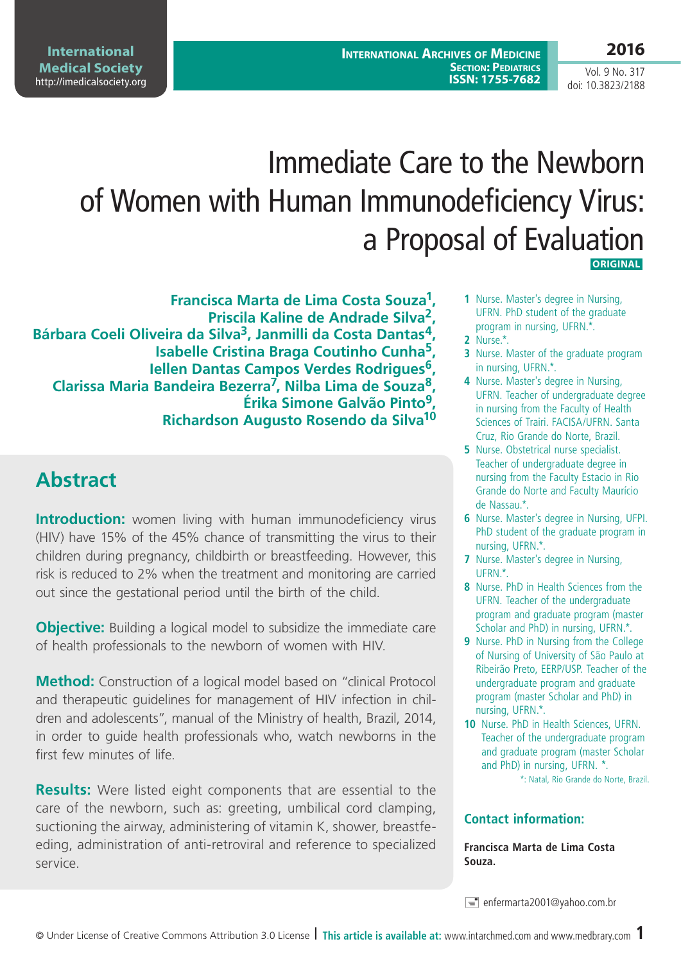# **2016**

Vol. 9 No. 317 doi: 10.3823/2188

# Immediate Care to the Newborn of Women with Human Immunodeficiency Virus: a Proposal of Evaluation  **ORIGINAL**

**Francisca Marta de Lima Costa Souza1, Priscila Kaline de Andrade Silva2, Bárbara Coeli Oliveira da Silva3, Janmilli da Costa Dantas4, Isabelle Cristina Braga Coutinho Cunha5, Iellen Dantas Campos Verdes Rodrigues6, Clarissa Maria Bandeira Bezerra7, Nilba Lima de Souza8, Érika Simone Galvão Pinto9, Richardson Augusto Rosendo da Silva10**

# **Abstract**

**Introduction:** women living with human immunodeficiency virus (HIV) have 15% of the 45% chance of transmitting the virus to their children during pregnancy, childbirth or breastfeeding. However, this risk is reduced to 2% when the treatment and monitoring are carried out since the gestational period until the birth of the child.

**Objective:** Building a logical model to subsidize the immediate care of health professionals to the newborn of women with HIV.

**Method:** Construction of a logical model based on "clinical Protocol and therapeutic guidelines for management of HIV infection in children and adolescents", manual of the Ministry of health, Brazil, 2014, in order to guide health professionals who, watch newborns in the first few minutes of life.

**Results:** Were listed eight components that are essential to the care of the newborn, such as: greeting, umbilical cord clamping, suctioning the airway, administering of vitamin K, shower, breastfeeding, administration of anti-retroviral and reference to specialized service.

- **1** Nurse. Master's degree in Nursing, UFRN. PhD student of the graduate program in nursing, UFRN.\*.
- **2** Nurse.\*.
- **3** Nurse. Master of the graduate program in nursing, UFRN.\*.
- **4** Nurse. Master's degree in Nursing, UFRN. Teacher of undergraduate degree in nursing from the Faculty of Health Sciences of Trairi. FACISA/UFRN. Santa Cruz, Rio Grande do Norte, Brazil.
- **5** Nurse. Obstetrical nurse specialist. Teacher of undergraduate degree in nursing from the Faculty Estacio in Rio Grande do Norte and Faculty Maurício de Nassau.\*.
- **6** Nurse. Master's degree in Nursing, UFPI. PhD student of the graduate program in nursing, UFRN.\*.
- **7** Nurse. Master's degree in Nursing, UFRN.\*.
- **8** Nurse. PhD in Health Sciences from the UFRN. Teacher of the undergraduate program and graduate program (master Scholar and PhD) in nursing, UFRN.\*.
- **9** Nurse. PhD in Nursing from the College of Nursing of University of São Paulo at Ribeirão Preto, EERP/USP. Teacher of the undergraduate program and graduate program (master Scholar and PhD) in nursing, UFRN.\*.
- **10** Nurse. PhD in Health Sciences, UFRN. Teacher of the undergraduate program and graduate program (master Scholar and PhD) in nursing, UFRN. \*.

\*: Natal, Rio Grande do Norte, Brazil.

#### **Contact information:**

**Francisca Marta de Lima Costa Souza.**

enfermarta2001@yahoo.com.br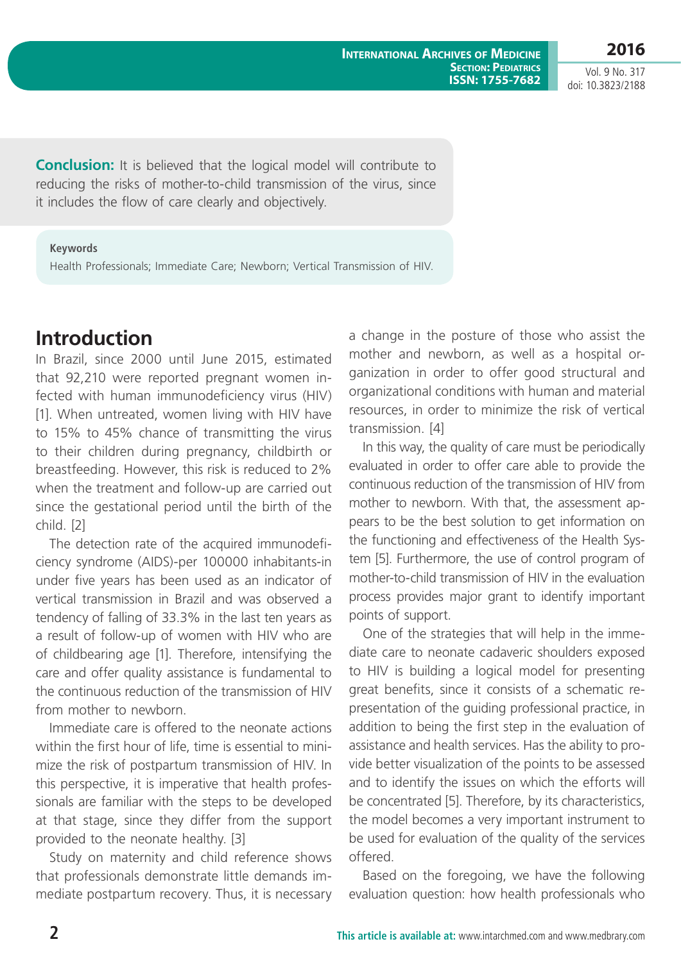Vol. 9 No. 317 doi: 10.3823/2188

**Conclusion:** It is believed that the logical model will contribute to reducing the risks of mother-to-child transmission of the virus, since it includes the flow of care clearly and objectively.

#### **Keywords**

Health Professionals; Immediate Care; Newborn; Vertical Transmission of HIV.

# **Introduction**

In Brazil, since 2000 until June 2015, estimated that 92,210 were reported pregnant women infected with human immunodeficiency virus (HIV) [1]. When untreated, women living with HIV have to 15% to 45% chance of transmitting the virus to their children during pregnancy, childbirth or breastfeeding. However, this risk is reduced to 2% when the treatment and follow-up are carried out since the gestational period until the birth of the child. [2]

The detection rate of the acquired immunodeficiency syndrome (AIDS)-per 100000 inhabitants-in under five years has been used as an indicator of vertical transmission in Brazil and was observed a tendency of falling of 33.3% in the last ten years as a result of follow-up of women with HIV who are of childbearing age [1]. Therefore, intensifying the care and offer quality assistance is fundamental to the continuous reduction of the transmission of HIV from mother to newhorn

Immediate care is offered to the neonate actions within the first hour of life, time is essential to minimize the risk of postpartum transmission of HIV. In this perspective, it is imperative that health professionals are familiar with the steps to be developed at that stage, since they differ from the support provided to the neonate healthy. [3]

Study on maternity and child reference shows that professionals demonstrate little demands immediate postpartum recovery. Thus, it is necessary a change in the posture of those who assist the mother and newborn, as well as a hospital organization in order to offer good structural and organizational conditions with human and material resources, in order to minimize the risk of vertical transmission. [4]

In this way, the quality of care must be periodically evaluated in order to offer care able to provide the continuous reduction of the transmission of HIV from mother to newborn. With that, the assessment appears to be the best solution to get information on the functioning and effectiveness of the Health System [5]. Furthermore, the use of control program of mother-to-child transmission of HIV in the evaluation process provides major grant to identify important points of support.

One of the strategies that will help in the immediate care to neonate cadaveric shoulders exposed to HIV is building a logical model for presenting great benefits, since it consists of a schematic representation of the guiding professional practice, in addition to being the first step in the evaluation of assistance and health services. Has the ability to provide better visualization of the points to be assessed and to identify the issues on which the efforts will be concentrated [5]. Therefore, by its characteristics, the model becomes a very important instrument to be used for evaluation of the quality of the services offered.

Based on the foregoing, we have the following evaluation question: how health professionals who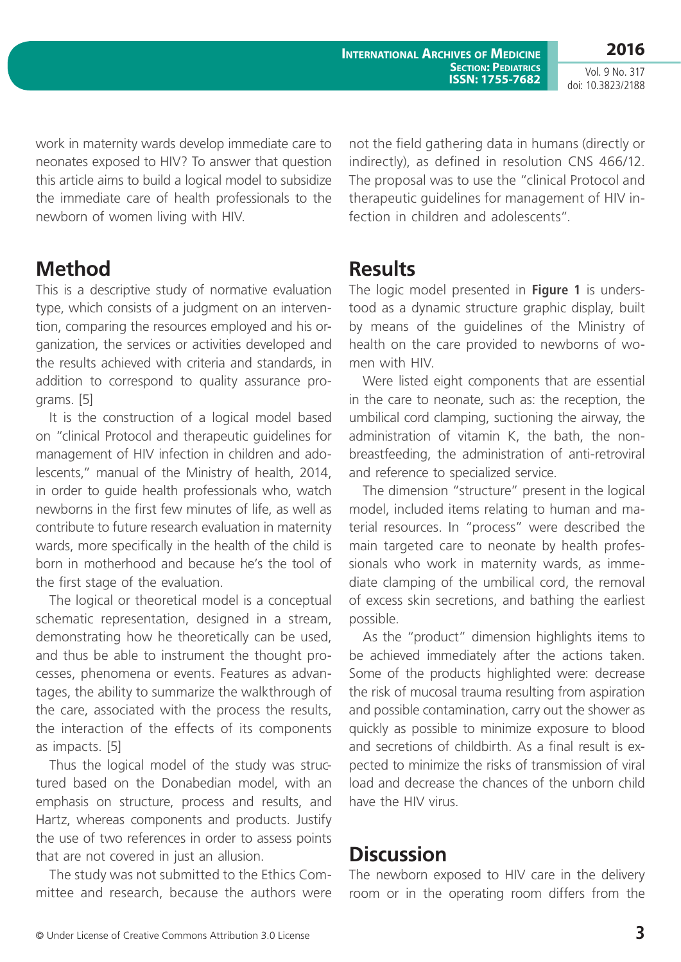**International Archives of Medicine SECTION: PEDIATRICS ISSN: 1755-7682**

**2016** Vol. 9 No. 317 doi: 10.3823/2188

work in maternity wards develop immediate care to neonates exposed to HIV? To answer that question this article aims to build a logical model to subsidize the immediate care of health professionals to the newborn of women living with HIV.

not the field gathering data in humans (directly or indirectly), as defined in resolution CNS 466/12. The proposal was to use the "clinical Protocol and therapeutic guidelines for management of HIV infection in children and adolescents".

# **Method**

This is a descriptive study of normative evaluation type, which consists of a judgment on an intervention, comparing the resources employed and his organization, the services or activities developed and the results achieved with criteria and standards, in addition to correspond to quality assurance programs. [5]

It is the construction of a logical model based on "clinical Protocol and therapeutic guidelines for management of HIV infection in children and adolescents," manual of the Ministry of health, 2014, in order to guide health professionals who, watch newborns in the first few minutes of life, as well as contribute to future research evaluation in maternity wards, more specifically in the health of the child is born in motherhood and because he's the tool of the first stage of the evaluation.

The logical or theoretical model is a conceptual schematic representation, designed in a stream, demonstrating how he theoretically can be used, and thus be able to instrument the thought processes, phenomena or events. Features as advantages, the ability to summarize the walkthrough of the care, associated with the process the results, the interaction of the effects of its components as impacts. [5]

Thus the logical model of the study was structured based on the Donabedian model, with an emphasis on structure, process and results, and Hartz, whereas components and products. Justify the use of two references in order to assess points that are not covered in just an allusion.

The study was not submitted to the Ethics Committee and research, because the authors were

### **Results**

The logic model presented in **Figure 1** is understood as a dynamic structure graphic display, built by means of the guidelines of the Ministry of health on the care provided to newborns of women with HIV.

Were listed eight components that are essential in the care to neonate, such as: the reception, the umbilical cord clamping, suctioning the airway, the administration of vitamin K, the bath, the nonbreastfeeding, the administration of anti-retroviral and reference to specialized service.

The dimension "structure" present in the logical model, included items relating to human and material resources. In "process" were described the main targeted care to neonate by health professionals who work in maternity wards, as immediate clamping of the umbilical cord, the removal of excess skin secretions, and bathing the earliest possible.

As the "product" dimension highlights items to be achieved immediately after the actions taken. Some of the products highlighted were: decrease the risk of mucosal trauma resulting from aspiration and possible contamination, carry out the shower as quickly as possible to minimize exposure to blood and secretions of childbirth. As a final result is expected to minimize the risks of transmission of viral load and decrease the chances of the unborn child have the HIV virus.

### **Discussion**

The newborn exposed to HIV care in the delivery room or in the operating room differs from the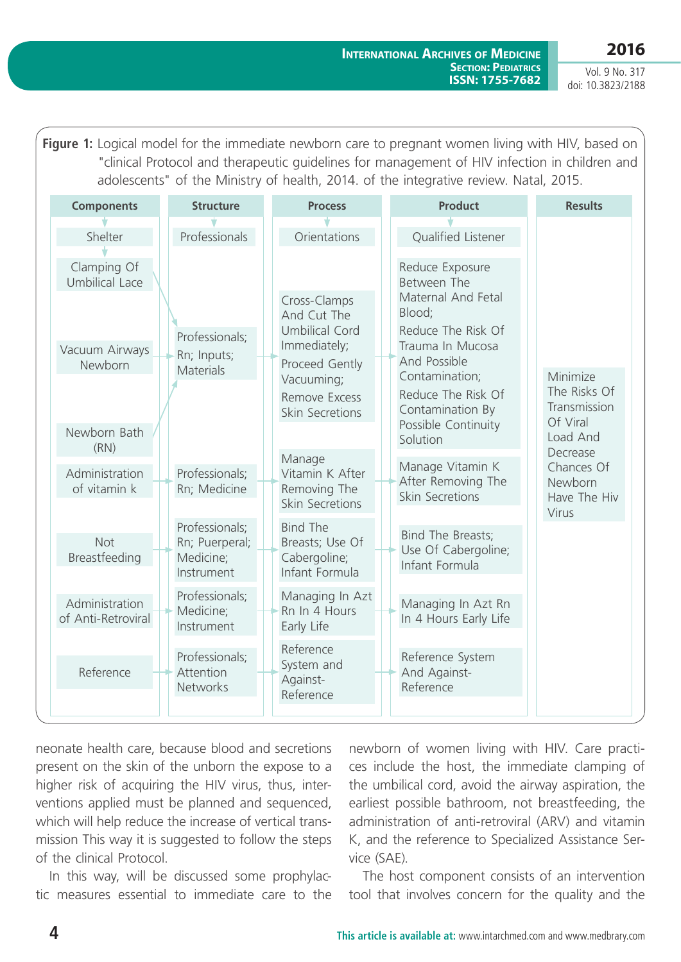Vol. 9 No. 317 doi: 10.3823/2188

**Figure 1:** Logical model for the immediate newborn care to pregnant women living with HIV, based on "clinical Protocol and therapeutic guidelines for management of HIV infection in children and adolescents" of the Ministry of health, 2014. of the integrative review. Natal, 2015.

| <b>Components</b>                    | <b>Structure</b>            | <b>Process</b>                  | <b>Product</b>                              | <b>Results</b>           |
|--------------------------------------|-----------------------------|---------------------------------|---------------------------------------------|--------------------------|
| Shelter                              | Professionals               | Orientations                    | Qualified Listener                          |                          |
|                                      |                             |                                 |                                             |                          |
| Clamping Of                          |                             |                                 | Reduce Exposure                             |                          |
| <b>Umbilical Lace</b>                |                             |                                 | Between The<br>Maternal And Fetal           |                          |
|                                      |                             | Cross-Clamps<br>And Cut The     | Blood;                                      |                          |
|                                      | Professionals;              | <b>Umbilical Cord</b>           | Reduce The Risk Of                          |                          |
| Vacuum Airways                       | Rn; Inputs;                 | Immediately;                    | Trauma In Mucosa                            |                          |
| Newborn                              | <b>Materials</b>            | Proceed Gently<br>Vacuuming;    | And Possible<br>Contamination;              | Minimize                 |
|                                      |                             | Remove Excess                   | Reduce The Risk Of                          | The Risks Of             |
|                                      |                             | Skin Secretions                 | Contamination By                            | Transmission<br>Of Viral |
| Newborn Bath<br>(RN)                 |                             |                                 | Possible Continuity<br>Solution<br>Decrease | Load And                 |
| Administration                       | Professionals;              | Manage<br>Vitamin K After       | Manage Vitamin K                            | Chances Of               |
| of vitamin k                         | Rn; Medicine                | Removing The                    | After Removing The<br>Skin Secretions       | Newborn                  |
|                                      |                             | Skin Secretions                 |                                             | Have The Hiv<br>Virus    |
|                                      | Professionals;              | <b>Bind The</b>                 | Bind The Breasts;                           |                          |
| Not<br>Breastfeeding                 | Rn; Puerperal;<br>Medicine; | Breasts; Use Of<br>Cabergoline; | Use Of Cabergoline;                         |                          |
|                                      | Instrument                  | Infant Formula                  | Infant Formula                              |                          |
|                                      | Professionals;              | Managing In Azt                 |                                             |                          |
| Administration<br>of Anti-Retroviral | Medicine;                   | Rn In 4 Hours                   | Managing In Azt Rn<br>In 4 Hours Early Life |                          |
|                                      | Instrument                  | Early Life                      |                                             |                          |
|                                      | Professionals;              | Reference                       | Reference System                            |                          |
| Reference                            | Attention                   | System and<br>Against-          | And Against-                                |                          |
|                                      | Networks                    | Reference                       | Reference                                   |                          |
|                                      |                             |                                 |                                             |                          |

neonate health care, because blood and secretions present on the skin of the unborn the expose to a higher risk of acquiring the HIV virus, thus, interventions applied must be planned and sequenced, which will help reduce the increase of vertical transmission This way it is suggested to follow the steps of the clinical Protocol.

In this way, will be discussed some prophylactic measures essential to immediate care to the

newborn of women living with HIV. Care practices include the host, the immediate clamping of the umbilical cord, avoid the airway aspiration, the earliest possible bathroom, not breastfeeding, the administration of anti-retroviral (ARV) and vitamin K, and the reference to Specialized Assistance Service (SAE).

The host component consists of an intervention tool that involves concern for the quality and the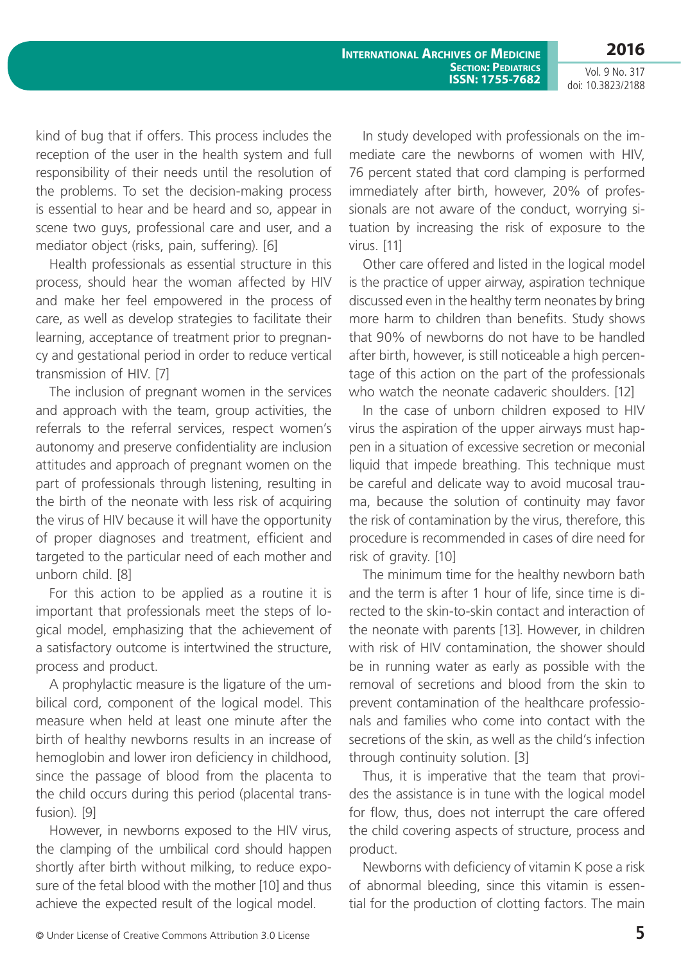**International Archives of Medicine SECTION: PEDIATRICS ISSN: 1755-7682**

Vol. 9 No. 317 doi: 10.3823/2188

**2016**

kind of bug that if offers. This process includes the reception of the user in the health system and full responsibility of their needs until the resolution of the problems. To set the decision-making process is essential to hear and be heard and so, appear in scene two guys, professional care and user, and a mediator object (risks, pain, suffering). [6]

Health professionals as essential structure in this process, should hear the woman affected by HIV and make her feel empowered in the process of care, as well as develop strategies to facilitate their learning, acceptance of treatment prior to pregnancy and gestational period in order to reduce vertical transmission of HIV. [7]

The inclusion of pregnant women in the services and approach with the team, group activities, the referrals to the referral services, respect women's autonomy and preserve confidentiality are inclusion attitudes and approach of pregnant women on the part of professionals through listening, resulting in the birth of the neonate with less risk of acquiring the virus of HIV because it will have the opportunity of proper diagnoses and treatment, efficient and targeted to the particular need of each mother and unborn child. [8]

For this action to be applied as a routine it is important that professionals meet the steps of logical model, emphasizing that the achievement of a satisfactory outcome is intertwined the structure, process and product.

A prophylactic measure is the ligature of the umbilical cord, component of the logical model. This measure when held at least one minute after the birth of healthy newborns results in an increase of hemoglobin and lower iron deficiency in childhood, since the passage of blood from the placenta to the child occurs during this period (placental transfusion). [9]

However, in newborns exposed to the HIV virus, the clamping of the umbilical cord should happen shortly after birth without milking, to reduce exposure of the fetal blood with the mother [10] and thus achieve the expected result of the logical model.

In study developed with professionals on the immediate care the newborns of women with HIV, 76 percent stated that cord clamping is performed immediately after birth, however, 20% of professionals are not aware of the conduct, worrying situation by increasing the risk of exposure to the virus. [11]

Other care offered and listed in the logical model is the practice of upper airway, aspiration technique discussed even in the healthy term neonates by bring more harm to children than benefits. Study shows that 90% of newborns do not have to be handled after birth, however, is still noticeable a high percentage of this action on the part of the professionals who watch the neonate cadaveric shoulders. [12]

In the case of unborn children exposed to HIV virus the aspiration of the upper airways must happen in a situation of excessive secretion or meconial liquid that impede breathing. This technique must be careful and delicate way to avoid mucosal trauma, because the solution of continuity may favor the risk of contamination by the virus, therefore, this procedure is recommended in cases of dire need for risk of gravity. [10]

The minimum time for the healthy newborn bath and the term is after 1 hour of life, since time is directed to the skin-to-skin contact and interaction of the neonate with parents [13]. However, in children with risk of HIV contamination, the shower should be in running water as early as possible with the removal of secretions and blood from the skin to prevent contamination of the healthcare professionals and families who come into contact with the secretions of the skin, as well as the child's infection through continuity solution. [3]

Thus, it is imperative that the team that provides the assistance is in tune with the logical model for flow, thus, does not interrupt the care offered the child covering aspects of structure, process and product.

Newborns with deficiency of vitamin K pose a risk of abnormal bleeding, since this vitamin is essential for the production of clotting factors. The main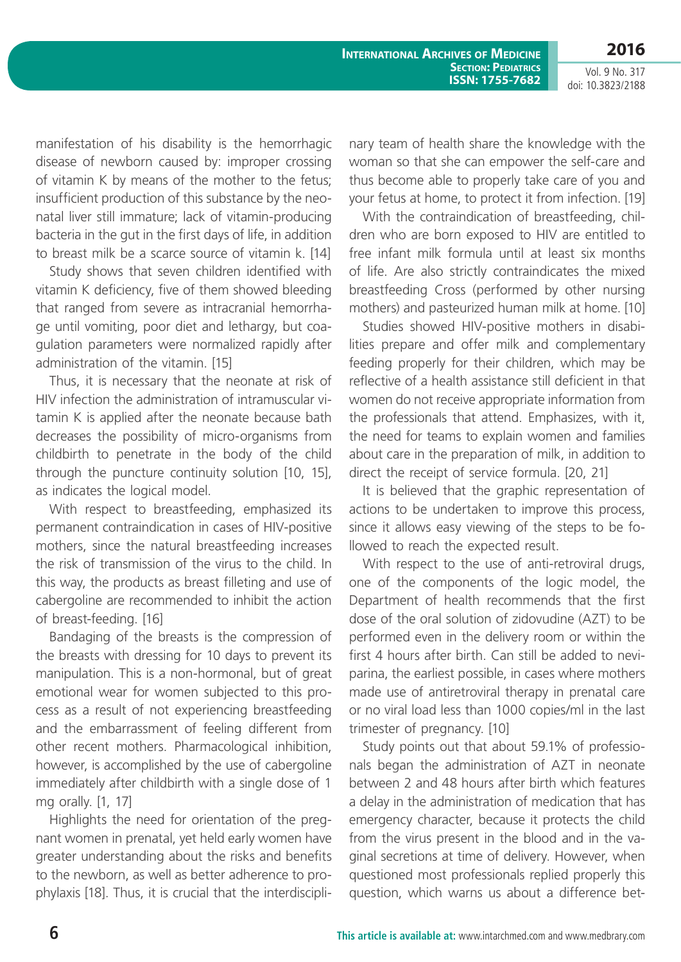**2016**

Vol. 9 No. 317 doi: 10.3823/2188

manifestation of his disability is the hemorrhagic disease of newborn caused by: improper crossing of vitamin K by means of the mother to the fetus; insufficient production of this substance by the neonatal liver still immature; lack of vitamin-producing bacteria in the gut in the first days of life, in addition to breast milk be a scarce source of vitamin k. [14]

Study shows that seven children identified with vitamin K deficiency, five of them showed bleeding that ranged from severe as intracranial hemorrhage until vomiting, poor diet and lethargy, but coagulation parameters were normalized rapidly after administration of the vitamin. [15]

Thus, it is necessary that the neonate at risk of HIV infection the administration of intramuscular vitamin K is applied after the neonate because bath decreases the possibility of micro-organisms from childbirth to penetrate in the body of the child through the puncture continuity solution [10, 15], as indicates the logical model.

With respect to breastfeeding, emphasized its permanent contraindication in cases of HIV-positive mothers, since the natural breastfeeding increases the risk of transmission of the virus to the child. In this way, the products as breast filleting and use of cabergoline are recommended to inhibit the action of breast-feeding. [16]

Bandaging of the breasts is the compression of the breasts with dressing for 10 days to prevent its manipulation. This is a non-hormonal, but of great emotional wear for women subjected to this process as a result of not experiencing breastfeeding and the embarrassment of feeling different from other recent mothers. Pharmacological inhibition, however, is accomplished by the use of cabergoline immediately after childbirth with a single dose of 1 mg orally. [1, 17]

Highlights the need for orientation of the pregnant women in prenatal, yet held early women have greater understanding about the risks and benefits to the newborn, as well as better adherence to prophylaxis [18]. Thus, it is crucial that the interdisciplinary team of health share the knowledge with the woman so that she can empower the self-care and thus become able to properly take care of you and your fetus at home, to protect it from infection. [19]

With the contraindication of breastfeeding, children who are born exposed to HIV are entitled to free infant milk formula until at least six months of life. Are also strictly contraindicates the mixed breastfeeding Cross (performed by other nursing mothers) and pasteurized human milk at home. [10]

Studies showed HIV-positive mothers in disabilities prepare and offer milk and complementary feeding properly for their children, which may be reflective of a health assistance still deficient in that women do not receive appropriate information from the professionals that attend. Emphasizes, with it, the need for teams to explain women and families about care in the preparation of milk, in addition to direct the receipt of service formula. [20, 21]

It is believed that the graphic representation of actions to be undertaken to improve this process, since it allows easy viewing of the steps to be followed to reach the expected result.

With respect to the use of anti-retroviral drugs, one of the components of the logic model, the Department of health recommends that the first dose of the oral solution of zidovudine (AZT) to be performed even in the delivery room or within the first 4 hours after birth. Can still be added to neviparina, the earliest possible, in cases where mothers made use of antiretroviral therapy in prenatal care or no viral load less than 1000 copies/ml in the last trimester of pregnancy. [10]

Study points out that about 59.1% of professionals began the administration of AZT in neonate between 2 and 48 hours after birth which features a delay in the administration of medication that has emergency character, because it protects the child from the virus present in the blood and in the vaginal secretions at time of delivery. However, when questioned most professionals replied properly this question, which warns us about a difference bet-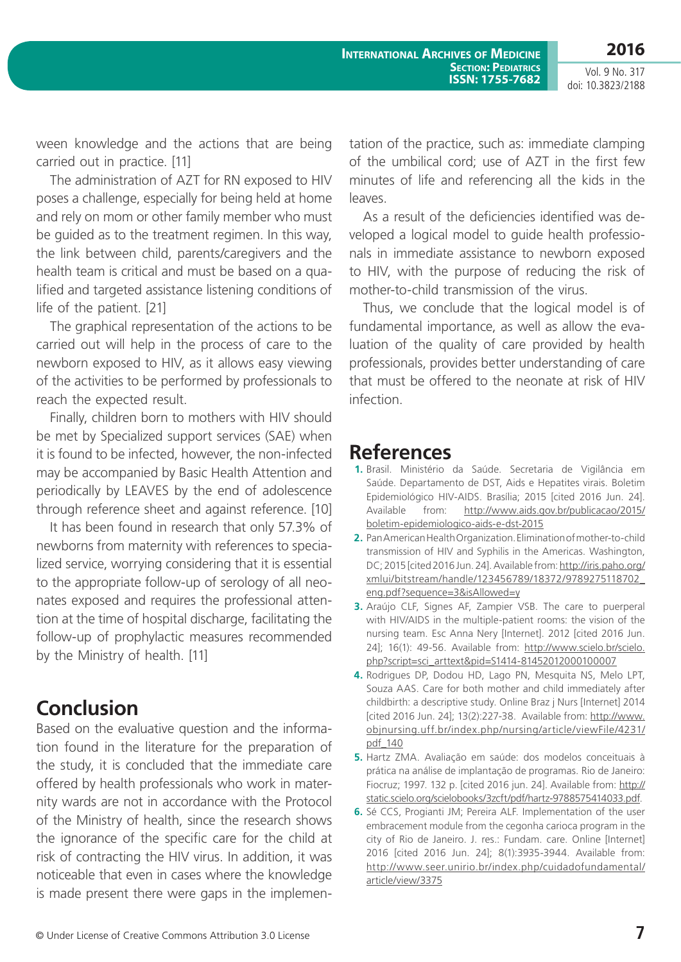**2016**

Vol. 9 No. 317 doi: 10.3823/2188

ween knowledge and the actions that are being carried out in practice. [11]

The administration of AZT for RN exposed to HIV poses a challenge, especially for being held at home and rely on mom or other family member who must be guided as to the treatment regimen. In this way, the link between child, parents/caregivers and the health team is critical and must be based on a qualified and targeted assistance listening conditions of life of the patient. [21]

The graphical representation of the actions to be carried out will help in the process of care to the newborn exposed to HIV, as it allows easy viewing of the activities to be performed by professionals to reach the expected result.

Finally, children born to mothers with HIV should be met by Specialized support services (SAE) when it is found to be infected, however, the non-infected may be accompanied by Basic Health Attention and periodically by LEAVES by the end of adolescence through reference sheet and against reference. [10]

It has been found in research that only 57.3% of newborns from maternity with references to specialized service, worrying considering that it is essential to the appropriate follow-up of serology of all neonates exposed and requires the professional attention at the time of hospital discharge, facilitating the follow-up of prophylactic measures recommended by the Ministry of health. [11]

# **Conclusion**

Based on the evaluative question and the information found in the literature for the preparation of the study, it is concluded that the immediate care offered by health professionals who work in maternity wards are not in accordance with the Protocol of the Ministry of health, since the research shows the ignorance of the specific care for the child at risk of contracting the HIV virus. In addition, it was noticeable that even in cases where the knowledge is made present there were gaps in the implementation of the practice, such as: immediate clamping of the umbilical cord; use of AZT in the first few minutes of life and referencing all the kids in the leaves.

As a result of the deficiencies identified was developed a logical model to guide health professionals in immediate assistance to newborn exposed to HIV, with the purpose of reducing the risk of mother-to-child transmission of the virus.

Thus, we conclude that the logical model is of fundamental importance, as well as allow the evaluation of the quality of care provided by health professionals, provides better understanding of care that must be offered to the neonate at risk of HIV infection.

### **References**

- **1.** Brasil. Ministério da Saúde. Secretaria de Vigilância em Saúde. Departamento de DST, Aids e Hepatites virais. Boletim Epidemiológico HIV-AIDS. Brasília; 2015 [cited 2016 Jun. 24]. Available from: [http://www.aids.gov.br/publicacao/2015/](http://www.aids.gov.br/publicacao/2015/boletim-epidemiologico-aids-e-dst-2015) [boletim-epidemiologico-aids-e-dst-2015](http://www.aids.gov.br/publicacao/2015/boletim-epidemiologico-aids-e-dst-2015)
- **2.** Pan American Health Organization. Elimination of mother-to-child transmission of HIV and Syphilis in the Americas. Washington, DC; 2015 [cited 2016 Jun. 24]. Available from: [http://iris.paho.org/](http://iris.paho.org/xmlui/bitstream/handle/123456789/18372/9789275118702_eng.pdf?sequence=3&isAllowed=y) [xmlui/bitstream/handle/123456789/18372/9789275118702\\_](http://iris.paho.org/xmlui/bitstream/handle/123456789/18372/9789275118702_eng.pdf?sequence=3&isAllowed=y) [eng.pdf?sequence=3&isAllowed=y](http://iris.paho.org/xmlui/bitstream/handle/123456789/18372/9789275118702_eng.pdf?sequence=3&isAllowed=y)
- **3.** Araújo CLF, Signes AF, Zampier VSB. The care to puerperal with HIV/AIDS in the multiple-patient rooms: the vision of the nursing team. Esc Anna Nery [Internet]. 2012 [cited 2016 Jun. 24]; 16(1): 49-56. Available from: [http://www.scielo.br/scielo.](http://www.scielo.br/scielo.php?script=sci_arttext&pid=S1414-81452012000100007) [php?script=sci\\_arttext&pid=S1414-81452012000100007](http://www.scielo.br/scielo.php?script=sci_arttext&pid=S1414-81452012000100007)
- **4.** Rodrigues DP, Dodou HD, Lago PN, Mesquita NS, Melo LPT, Souza AAS. Care for both mother and child immediately after childbirth: a descriptive study. Online Braz j Nurs [Internet] 2014 [cited 2016 Jun. 24]; 13(2):227-38. Available from: [http://www.](http://www.objnursing.uff.br/index.php/nursing/article/viewFile/4231/pdf_140) [objnursing.uff.br/index.php/nursing/article/viewFile/4231/](http://www.objnursing.uff.br/index.php/nursing/article/viewFile/4231/pdf_140) [pdf\\_140](http://www.objnursing.uff.br/index.php/nursing/article/viewFile/4231/pdf_140)
- **5.** Hartz ZMA. Avaliação em saúde: dos modelos conceituais à prática na análise de implantação de programas. Rio de Janeiro: Fiocruz; 1997. 132 p. [cited 2016 jun. 24]. Available from: [http://](http://static.scielo.org/scielobooks/3zcft/pdf/hartz-9788575414033.pdf) [static.scielo.org/scielobooks/3zcft/pdf/hartz-9788575414033.pdf](http://static.scielo.org/scielobooks/3zcft/pdf/hartz-9788575414033.pdf).
- **6.** Sé CCS, Progianti JM; Pereira ALF. Implementation of the user embracement module from the cegonha carioca program in the city of Rio de Janeiro. J. res.: Fundam. care. Online [Internet] 2016 [cited 2016 Jun. 24]; 8(1):3935-3944. Available from: [http://www.seer.unirio.br/index.php/cuidadofundamental/](http://www.seer.unirio.br/index.php/cuidadofundamental/article/view/3375) [article/view/3375](http://www.seer.unirio.br/index.php/cuidadofundamental/article/view/3375)